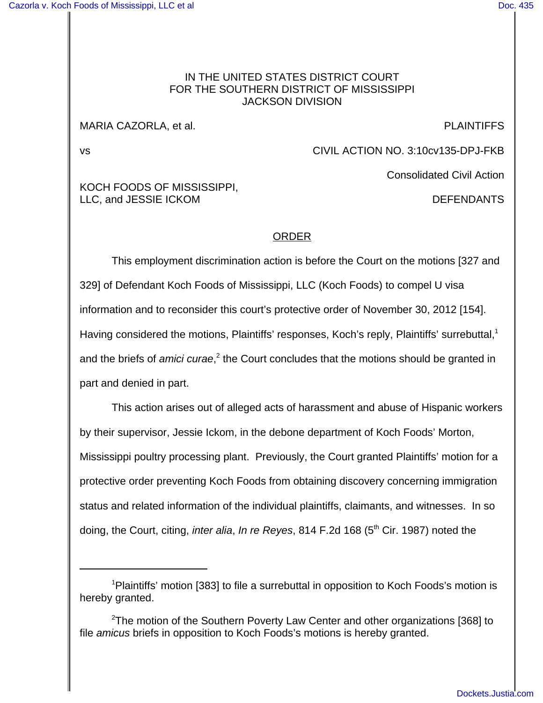# IN THE UNITED STATES DISTRICT COURT FOR THE SOUTHERN DISTRICT OF MISSISSIPPI JACKSON DIVISION

## MARIA CAZORLA, et al. PLAINTIFFS

vs CIVIL ACTION NO. 3:10cv135-DPJ-FKB

Consolidated Civil Action

# KOCH FOODS OF MISSISSIPPI, LLC, and JESSIE ICKOM **DEFENDANTS**

# ORDER

This employment discrimination action is before the Court on the motions [327 and 329] of Defendant Koch Foods of Mississippi, LLC (Koch Foods) to compel U visa information and to reconsider this court's protective order of November 30, 2012 [154]. Having considered the motions, Plaintiffs' responses, Koch's reply, Plaintiffs' surrebuttal,<sup>1</sup> and the briefs of amici curae,<sup>2</sup> the Court concludes that the motions should be granted in part and denied in part.

This action arises out of alleged acts of harassment and abuse of Hispanic workers by their supervisor, Jessie Ickom, in the debone department of Koch Foods' Morton, Mississippi poultry processing plant. Previously, the Court granted Plaintiffs' motion for a protective order preventing Koch Foods from obtaining discovery concerning immigration status and related information of the individual plaintiffs, claimants, and witnesses. In so doing, the Court, citing, *inter alia, In re Reyes*, 814 F.2d 168 (5<sup>th</sup> Cir. 1987) noted the

<sup>&</sup>lt;sup>1</sup>Plaintiffs' motion [383] to file a surrebuttal in opposition to Koch Foods's motion is hereby granted.

 $2$ The motion of the Southern Poverty Law Center and other organizations [368] to file amicus briefs in opposition to Koch Foods's motions is hereby granted.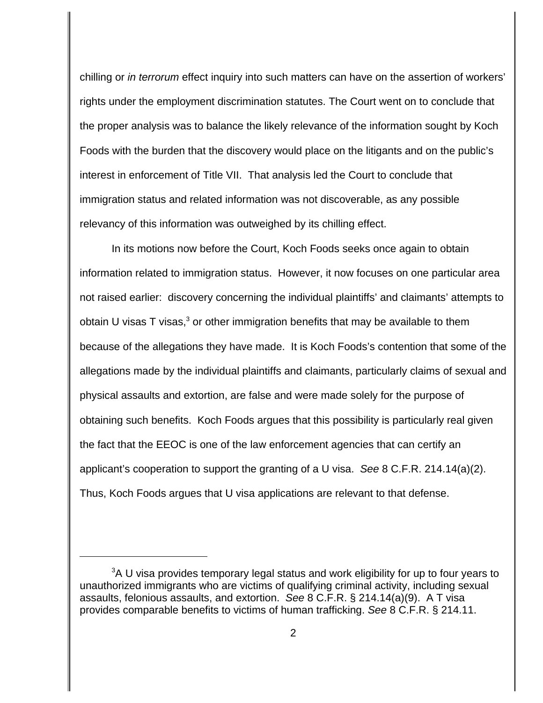chilling or in terrorum effect inquiry into such matters can have on the assertion of workers' rights under the employment discrimination statutes. The Court went on to conclude that the proper analysis was to balance the likely relevance of the information sought by Koch Foods with the burden that the discovery would place on the litigants and on the public's interest in enforcement of Title VII. That analysis led the Court to conclude that immigration status and related information was not discoverable, as any possible relevancy of this information was outweighed by its chilling effect.

In its motions now before the Court, Koch Foods seeks once again to obtain information related to immigration status. However, it now focuses on one particular area not raised earlier: discovery concerning the individual plaintiffs' and claimants' attempts to obtain U visas T visas,<sup>3</sup> or other immigration benefits that may be available to them because of the allegations they have made. It is Koch Foods's contention that some of the allegations made by the individual plaintiffs and claimants, particularly claims of sexual and physical assaults and extortion, are false and were made solely for the purpose of obtaining such benefits. Koch Foods argues that this possibility is particularly real given the fact that the EEOC is one of the law enforcement agencies that can certify an applicant's cooperation to support the granting of a U visa. See 8 C.F.R. 214.14(a)(2). Thus, Koch Foods argues that U visa applications are relevant to that defense.

 $3A$  U visa provides temporary legal status and work eligibility for up to four years to unauthorized immigrants who are victims of qualifying criminal activity, including sexual assaults, felonious assaults, and extortion. See 8 C.F.R. § 214.14(a)(9). A T visa provides comparable benefits to victims of human trafficking. See 8 C.F.R. § 214.11.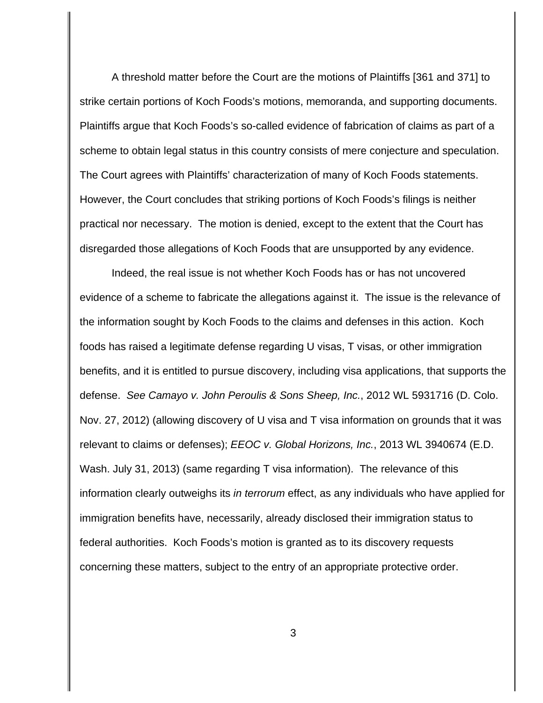A threshold matter before the Court are the motions of Plaintiffs [361 and 371] to strike certain portions of Koch Foods's motions, memoranda, and supporting documents. Plaintiffs argue that Koch Foods's so-called evidence of fabrication of claims as part of a scheme to obtain legal status in this country consists of mere conjecture and speculation. The Court agrees with Plaintiffs' characterization of many of Koch Foods statements. However, the Court concludes that striking portions of Koch Foods's filings is neither practical nor necessary. The motion is denied, except to the extent that the Court has disregarded those allegations of Koch Foods that are unsupported by any evidence.

Indeed, the real issue is not whether Koch Foods has or has not uncovered evidence of a scheme to fabricate the allegations against it. The issue is the relevance of the information sought by Koch Foods to the claims and defenses in this action. Koch foods has raised a legitimate defense regarding U visas, T visas, or other immigration benefits, and it is entitled to pursue discovery, including visa applications, that supports the defense. See Camayo v. John Peroulis & Sons Sheep, Inc., 2012 WL 5931716 (D. Colo. Nov. 27, 2012) (allowing discovery of U visa and T visa information on grounds that it was relevant to claims or defenses); EEOC v. Global Horizons, Inc., 2013 WL 3940674 (E.D. Wash. July 31, 2013) (same regarding T visa information). The relevance of this information clearly outweighs its in terrorum effect, as any individuals who have applied for immigration benefits have, necessarily, already disclosed their immigration status to federal authorities. Koch Foods's motion is granted as to its discovery requests concerning these matters, subject to the entry of an appropriate protective order.